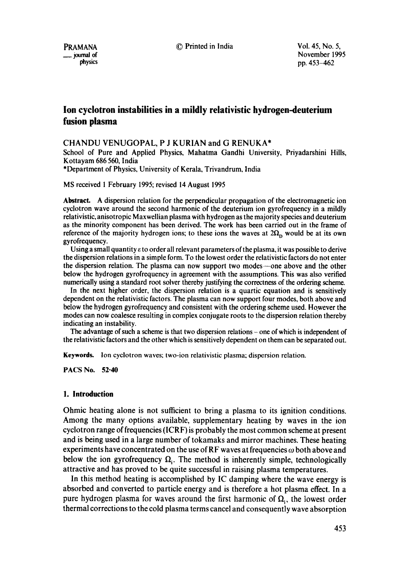PRAMANA © Printed in India Vol. 45, No. 5,

\_\_ journal of November 1995 pp. 453-462

# **Ion cyclotron instabilities in a mildly relativistic hydrogen-deuterium fusion plasma**

# CHANDU VENUGOPAL, P J KURIAN and G RENUKA\*

School of Pure and Applied Physics, Mahatma Gandhi University, Priyadarshini Hills, Kottayam 686 560, India

\*Department of Physics, University of Kerala, Trivandrum, India

MS received 1 February 1995; revised 14 August 1995

**Abstract.** A dispersion relation for the perpendicular propagation of the electromagnetic ion cyclotron wave around the second harmonic of the deuterium ion gyrofrequency in a mildly relativistic, anisotropic Maxwellian plasma with hydrogen as the majority species and deuterium as the minority component has been derived. The work has been carried out in the frame of reference of the majority hydrogen ions; to these ions the waves at  $2\Omega_{\rm p}$  would be at its own gyrofrequency.

Using a small quantity  $\varepsilon$  to order all relevant parameters of the plasma, it was possible to derive **the** dispersion relations in a simple form. To the lowest order the relativistic factors do not enter the dispersion relation. The plasma can now support two modes--one above and the other below the hydrogen gyrofrequency in agreement with the assumptions. This was also verified numerically using a standard root solver thereby justifying the correctness of the ordering scheme.

In the next higher order, the dispersion relation is a quartic equation and is sensitively dependent on the relativistic factors. The plasma can now support four modes, both above and below the hydrogen gyrofrequency and consistent with the ordering scheme used. However the modes can now coalesce resulting in complex conjugate roots to the dispersion relation thereby indicating an instability.

The advantage of such a scheme is that two dispersion relations - one of which is independent of **the** relativistic factors and the other which is sensitively dependent on them can be separated out.

**Keywords.** Ion cyclotron waves; two-ion relativistic plasma; dispersion relation.

PACS No. 52.40

### **1. Introduction**

Ohmic heating alone is not sufficient to bring a plasma to its ignition conditions. Among the many options available, supplementary heating by waves in the ion cyclotron range of frequencies (ICRF) is probably the most common scheme at present and is being used in a large number of tokamaks and mirror machines. These heating experiments have concentrated on the use of RF waves at frequencies  $\omega$  both above and below the ion gyrofrequency  $\Omega_i$ . The method is inherently simple, technologically attractive and has proved to be quite successful in raising plasma temperatures.

In this method heating is accomplished by IC damping where the wave energy is absorbed and converted to particle energy and is therefore a hot plasma effect. In a pure hydrogen plasma for waves around the first harmonic of  $\Omega_i$ , the lowest order thermal corrections to the cold plasma terms cancel and consequently wave absorption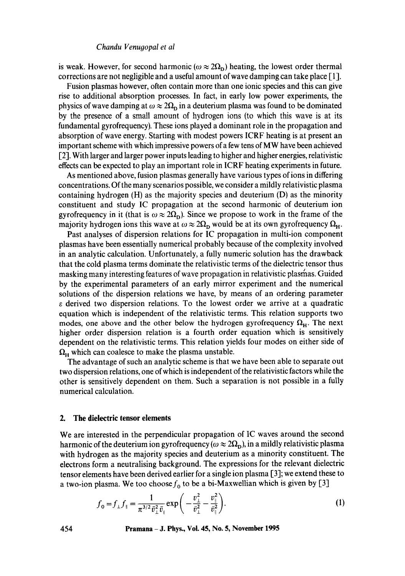is weak. However, for second harmonic ( $\omega \approx 2\Omega_{\rm D}$ ) heating, the lowest order thermal corrections are not negligible and a useful amount of wave damping can take place [1].

Fusion plasmas however, often contain more than one ionic species and this can give rise to additional absorption processes. In fact, in early low power experiments, the physics of wave damping at  $\omega \approx 2\Omega_p$  in a deuterium plasma was found to be dominated by the presence of a small amount of hydrogen ions (to which this wave is at its fundamental gyrofrequency). These ions played a dominant role in the propagation and absorption of wave energy. Starting with modest powers ICRF heating is at present an important scheme with which impressive powers of a few tens of MW have been achieved [2]. With larger and larger power inputs leading to higher and higher energies, relativistic effects can be expected to play an important role in ICRF heating experiments in future.

As mentioned above, fusion plasmas generally have various types of ions in differing concentrations. Of the many scenarios possible, we consider a mildly relativistic plasma containing hydrogen (H) as the majority species and deuterium (D) as the minority constituent and study IC propagation at the second harmonic of deuterium ion gyrofrequency in it (that is  $\omega \approx 2\Omega_{\rm D}$ ). Since we propose to work in the frame of the majority hydrogen ions this wave at  $\omega \approx 2\Omega_{\rm p}$  would be at its own gyrofrequency  $\Omega_{\rm H}$ .

Past analyses of dispersion relations for IC propagation in multi-ion component plasmas have been essentially numerical probably because of the complexity involved in an analytic calculation. Unfortunately, a fully numeric solution has the drawback that the cold plasma terms dominate the relativistic terms of the dielectric tensor thus masking many interesting features of wave propagation in relativistic plasrhas. Guided by the experimental parameters of an early mirror experiment and the numerical solutions of the dispersion relations we have, by means of an ordering parameter  $\varepsilon$  derived two dispersion relations. To the lowest order we arrive at a quadratic equation which is independent of the relativistic terms. This relation supports two modes, one above and the other below the hydrogen gyrofrequency  $\Omega_{\rm H}$ . The next higher order dispersion relation is a fourth order equation which is sensitively dependent on the relativistic terms. This relation yields four modes on either side of  $\Omega_H$  which can coalesce to make the plasma unstable.

The advantage of such an analytic scheme is that we have been able to separate out two dispersion relations, one of which is independent of the relativistic factors while the other is sensitively dependent on them. Such a separation is not possible in a fully numerical calculation.

#### **2. The dielectric tensor elements**

We are interested in the perpendicular propagation of IC waves around the second harmonic of the deuterium ion gyrofrequency ( $\omega \approx 2\Omega_{\rm D}$ ), in a mildly relativistic plasma with hydrogen as the majority species and deuterium as a minority constituent. The electrons form a neutralising background. The expressions for the relevant dielectric tensor elements have been derived earlier for a single ion plasma [3]; we extend these to a two-ion plasma. We too choose  $f_0$  to be a bi-Maxwellian which is given by [3]

$$
f_{0} = f_{\perp} f_{\parallel} = \frac{1}{\pi^{3/2} \bar{v}_{\perp}^2 \bar{v}_{\parallel}} \exp\bigg(-\frac{v_{\perp}^2}{\bar{v}_{\perp}^2} - \frac{v_{\parallel}^2}{\bar{v}_{\parallel}^2}\bigg). \tag{1}
$$

**454 Pramana - J. Phys., Vol. 45, No. 5, November 1995**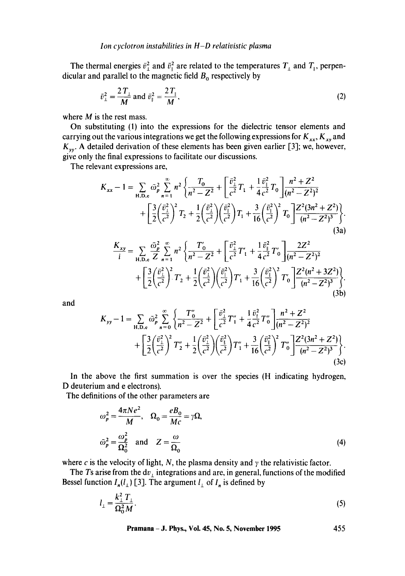The thermal energies  $\bar{v}_1^2$  and  $\bar{v}_1^2$  are related to the temperatures  $T_\perp$  and  $T_\parallel$ , perpendicular and parallel to the magnetic field  $B_0$  respectively by

$$
\bar{v}_{\perp}^2 = \frac{2\,T_{\perp}}{M} \text{ and } \bar{v}_{\parallel}^2 = \frac{2\,T_{\parallel}}{M},\tag{2}
$$

where  $M$  is the rest mass.

On substituting (1) into the expressions for the dielectric tensor elements and carrying out the various integrations we get the following expressions for  $K_{xx}$ ,  $K_{xy}$  and  $K_{yy}$ . A detailed derivation of these elements has been given earlier [3]; we, however, give only the final expressions to facilitate our discussions.

The relevant expressions are,

$$
K_{xx} - 1 = \sum_{\text{H.D.c}} \bar{\omega}_p^2 \sum_{n=1}^{\infty} n^2 \left\{ \frac{T_0}{n^2 - Z^2} + \left[ \frac{\bar{v}_1^2}{c^2} T_1 + \frac{1}{4} \frac{\bar{v}_1^2}{c^2} T_0 \right] \frac{n^2 + Z^2}{(n^2 - Z^2)^2} + \left[ \frac{3}{2} \left( \frac{\bar{v}_1^2}{c^2} \right)^2 T_2 + \frac{1}{2} \left( \frac{\bar{v}_1^2}{c^2} \right) \left( \frac{\bar{v}_1^2}{c^2} \right) T_1 + \frac{3}{16} \left( \frac{\bar{v}_1^2}{c^2} \right)^2 T_0 \right] \frac{Z^2 (3n^2 + Z^2)}{(n^2 - Z^2)^3} \left\}.
$$
\n(3a)

$$
\frac{K_{xy}}{i} = \sum_{\text{H.D.c}} \frac{\bar{\omega}_p^2}{Z} \sum_{n=1}^{\infty} n^2 \left\{ \frac{T'_0}{n^2 - Z^2} + \left[ \frac{\bar{v}_1^2}{c^2} T'_1 + \frac{1}{4} \frac{\bar{v}_1^2}{c^2} T'_0 \right] \frac{2Z^2}{(n^2 - Z^2)^2} + \left[ \frac{3}{2} \left( \frac{\bar{v}_1^2}{c^2} \right)^2 T'_2 + \frac{1}{2} \left( \frac{\bar{v}_1^2}{c^2} \right) \left( \frac{\bar{v}_1^2}{c^2} \right) T'_1 + \frac{3}{16} \left( \frac{\bar{v}_1^2}{c^2} \right)^2 T'_0 \right] \frac{Z^2(n^2 + 3Z^2)}{(n^2 - Z^2)^3} + \left[ \frac{3}{2} \left( \frac{\bar{v}_1^2}{c^2} \right)^2 T'_2 + \frac{1}{2} \left( \frac{\bar{v}_1^2}{c^2} \right) T'_1 + \frac{3}{16} \left( \frac{\bar{v}_1^2}{c^2} \right)^2 T'_0 \right] \frac{Z^2(n^2 + 3Z^2)}{(n^2 - Z^2)^3} \tag{3b}
$$

and

$$
K_{yy} - 1 = \sum_{\text{H.D.e}} \bar{\omega}_p^2 \sum_{n=0}^{\infty} \left\{ \frac{T_0''}{n^2 - Z^2} + \left[ \frac{\bar{v}_1^2}{c^2} T_1'' + \frac{1}{4} \frac{\bar{v}_1^2}{c^2} T_0'' \right] \frac{n^2 + Z^2}{(n^2 - Z^2)^2} + \left[ \frac{3}{2} \left( \frac{\bar{v}_1^2}{c^2} \right)^2 T_2'' + \frac{1}{2} \left( \frac{\bar{v}_1^2}{c^2} \right) \left( \frac{\bar{v}_1^2}{c^2} \right) T_1'' + \frac{3}{16} \left( \frac{\bar{v}_1^2}{c^2} \right)^2 T_0'' \right] \frac{Z^2 (3n^2 + Z^2)}{(n^2 - Z^2)^3} \right\}.
$$
\n(3c)

In the above the first summation is over the species (H indicating hydrogen, D deuterium and e electrons).

The definitions of the other parameters are

$$
\omega_p^2 = \frac{4\pi Ne^2}{M}, \quad \Omega_0 = \frac{eB_0}{Mc} = \gamma \Omega,
$$
  

$$
\bar{\omega}_p^2 = \frac{\omega_p^2}{\Omega_0^2} \quad \text{and} \quad Z = \frac{\omega}{\Omega_0}
$$
 (4)

where c is the velocity of light, N, the plasma density and  $\gamma$  the relativistic factor.

The Ts arise from the  $dv_{\perp}$  integrations and are, in general, functions of the modified Bessel function  $I_n(l_\perp)$  [3]. The argument  $l_\perp$  of  $I_n$  is defined by

$$
l_{\perp} = \frac{k_{\perp}^2 T_{\perp}}{\Omega_0^2 M}.
$$
 (5)

**Pramana - J. Phys., Vol. 45, No. 5, November 1995 455**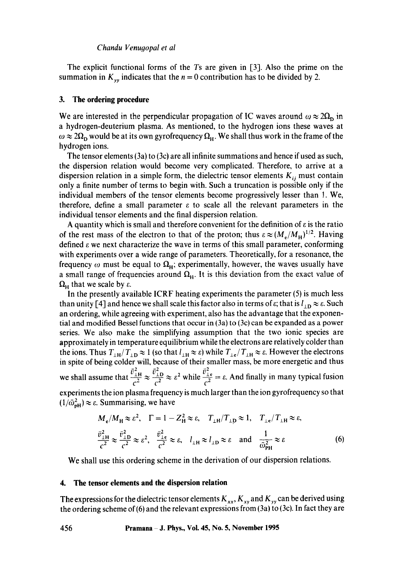#### *Chandu Venuqopal et al*

The explicit functional forms of the Ts are given in [3]. Also the prime on the summation in  $K_{yy}$  indicates that the  $n = 0$  contribution has to be divided by 2.

#### **3. The ordering procedure**

We are interested in the perpendicular propagation of IC waves around  $\omega \approx 2\Omega_p$  in a hydrogen-deuterium plasma. As mentioned, to the hydrogen ions these waves at  $\omega \approx 2\Omega_p$  would be at its own gyrofrequency  $\Omega_H$ . We shall thus work in the frame of the hydrogen ions.

The tensor elements (3a) to (3c) are all infinite summations and hence if used as such, the dispersion relation would become very complicated. Therefore, to arrive at a dispersion relation in a simple form, the dielectric tensor elements  $K_{ij}$  must contain only a finite number of terms to begin with. Such a truncation is possible only if the individual members of the tensor elements become progressively lesser than 1. We, therefore, define a small parameter  $\varepsilon$  to scale all the relevant parameters in the individual tensor elements and the final dispersion relation.

A quantity which is small and therefore convenient for the definition of  $\varepsilon$  is the ratio of the rest mass of the electron to that of the proton; thus  $\varepsilon \approx (M_e/M_H)^{1/2}$ . Having defined  $\epsilon$  we next characterize the wave in terms of this small parameter, conforming with experiments over a wide range of parameters. Theoretically, for a resonance, the frequency  $\omega$  must be equal to  $\Omega_H$ ; experimentally, however, the waves usually have a small range of frequencies around  $\Omega_H$ . It is this deviation from the exact value of  $\Omega_{\rm H}$  that we scale by  $\varepsilon$ .

In the presently available ICRF heating experiments the parameter (5) is much less than unity [4] and hence we shall scale this factor also in terms of  $\varepsilon$ ; that is  $l_{\perp D} \approx \varepsilon$ . Such an ordering, while agreeing with experiment, also has the advantage that the exponential and modified Bessel functions that occur in (3a) to (3c) can be expanded as a power series. We also make the simplifying assumption that the two ionic species are approximately in temperature equilibrium while the electrons are relatively colder than the ions. Thus  $T_{\perp H}/T_{\perp D} \approx 1$  (so that  $l_{\perp H} \approx \varepsilon$ ) while  $T_{\perp e}/T_{\perp H} \approx \varepsilon$ . However the electrons in spite of being colder will, because of their smaller mass, be more energetic and thus  $\bar{n}^2$   $\bar{n}^2$   $\bar{n}^2$ we shall assume that  $\frac{1H}{2} \approx \frac{1D}{2} \approx \varepsilon^2$  while  $\frac{1-\varepsilon}{2} = \varepsilon$ . And finally in many typical fusion experiments the ion plasma frequency is much larger than the ion gyrofrequency so that

 $(1/\bar{\omega}_{\rm pH}^2) \approx \varepsilon$ . Summarising, we have

$$
M_e/M_H \approx \varepsilon^2, \quad \Gamma = 1 - Z_H^2 \approx \varepsilon, \quad T_{\perp H}/T_{\perp D} \approx 1, \quad T_{\perp e}/T_{\perp H} \approx \varepsilon,
$$
  

$$
\frac{\bar{v}_{\perp H}^2}{c^2} \approx \frac{\bar{v}_{\perp D}^2}{c^2} \approx \varepsilon, \quad \frac{\bar{v}_{\perp e}^2}{c^2} \approx \varepsilon, \quad l_{\perp H} \approx l_{\perp D} \approx \varepsilon \quad \text{and} \quad \frac{1}{\bar{\omega}_{PH}^2} \approx \varepsilon \quad (6)
$$

We shall use this ordering scheme in the derivation of our dispersion relations.

# **4. The tensor elements and the dispersion relation**

The expressions for the dielectric tensor elements  $K_{xx}$ ,  $K_{xy}$  and  $K_{yy}$  can be derived using the ordering scheme of (6) and the relevant expressions from  $(3a)$  to  $(3c)$ . In fact they are

**456 Pramana J. Phys., Vol. 45, No. 5, November 1995**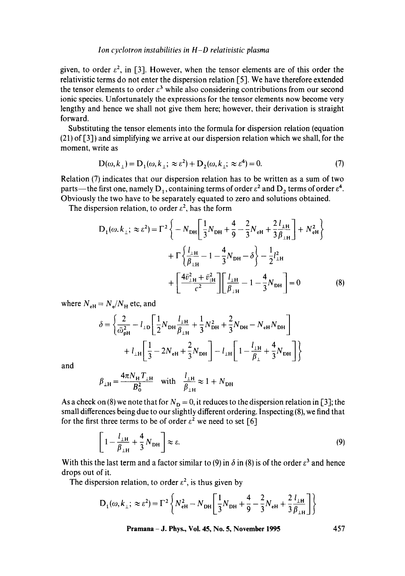### *Ion cyclotron instabilities in H-D relativistic plasma*

given, to order  $\epsilon^2$ , in [3]. However, when the tensor elements are of this order the relativistic terms do not enter the dispersion relation [5]. We have therefore extended the tensor elements to order  $\varepsilon^3$  while also considering contributions from our second ionic species. Unfortunately the expressions for the tensor elements now become very lengthy and hence we shall not give them here; however, their derivation is straight forward.

Substituting the tensor elements into the formula for dispersion relation (equation (21) of [3]) and simplifying we arrive at our dispersion relation which we shall, for the moment, write as

$$
D(\omega, k_{\perp}) = D_1(\omega, k_{\perp}; \approx \varepsilon^2) + D_2(\omega, k_{\perp}; \approx \varepsilon^4) = 0.
$$
 (7)

Relation (7) indicates that our dispersion relation has to be written as a sum of two parts—the first one, namely D<sub>1</sub>, containing terms of order  $\varepsilon^2$  and D<sub>2</sub> terms of order  $\varepsilon^4$ . Obviously the two have to be separately equated to zero and solutions obtained.

The dispersion relation, to order  $\varepsilon^2$ , has the form

$$
D_{1}(\omega, k_{\perp}; \approx \varepsilon^{2}) = \Gamma^{2} \left\{ -N_{DH} \left[ \frac{1}{3} N_{DH} + \frac{4}{9} - \frac{2}{3} N_{eH} + \frac{2}{3} \frac{l_{\perp H}}{\beta_{\perp H}} \right] + N_{eH}^{2} \right\} + \Gamma \left\{ \frac{l_{\perp H}}{\beta_{\perp H}} - 1 - \frac{4}{3} N_{DH} - \delta \right\} - \frac{1}{2} l_{\perp H}^{2} + \left[ \frac{4 \bar{v}_{\perp H}^{2} + \bar{v}_{\parallel H}^{2}}{\epsilon^{2}} \right] \left[ \frac{l_{\perp H}}{\beta_{\perp H}} - 1 - \frac{4}{3} N_{DH} \right] = 0
$$
 (8)

where  $N_{\text{eH}} = N_{\text{e}}/N_{\text{H}}$  etc, and

$$
\delta = \left\{ \frac{2}{\bar{\omega}_{\text{pH}}^2} - l_{\text{1D}} \left[ \frac{1}{2} N_{\text{DH}} \frac{l_{\perp H}}{\beta_{\perp H}} + \frac{1}{3} N_{\text{DH}}^2 + \frac{2}{3} N_{\text{DH}} - N_{\text{eH}} N_{\text{DH}} \right] + l_{\text{H}} \left[ \frac{1}{3} - 2N_{\text{eH}} + \frac{2}{3} N_{\text{DH}} \right] - l_{\text{H}} \left[ 1 - \frac{l_{\perp H}}{\beta_{\perp}} + \frac{4}{3} N_{\text{DH}} \right] \right\}
$$

and

$$
\beta_{\perp H} = \frac{4\pi N_H T_{\perp H}}{B_0^2} \quad \text{with} \quad \frac{l_{\perp H}}{\beta_{\perp H}} \approx 1 + N_{\text{DH}}
$$

As a check on (8) we note that for  $N_D = 0$ , it reduces to the dispersion relation in [3]; the small differences being due to our slightly different ordering. Inspecting (8), we find that for the first three terms to be of order  $\varepsilon^2$  we need to set [6]

$$
\left[1 - \frac{l_{\perp H}}{\beta_{\perp H}} + \frac{4}{3} N_{\text{DH}}\right] \approx \varepsilon. \tag{9}
$$

With this the last term and a factor similar to (9) in  $\delta$  in (8) is of the order  $\varepsilon^3$  and hence drops out of it.

The dispersion relation, to order  $\varepsilon^2$ , is thus given by

$$
D_1(\omega, k_{\perp}; \approx \varepsilon^2) = \Gamma^2 \left\{ N_{\text{eH}}^2 - N_{\text{DH}} \left[ \frac{1}{3} N_{\text{DH}} + \frac{4}{9} - \frac{2}{3} N_{\text{eH}} + \frac{2}{3} \frac{l_{\perp H}}{\beta_{\perp H}} \right] \right\}
$$

**Pramana - J. Phys., Vol. 45, No. 5, November 1995 457**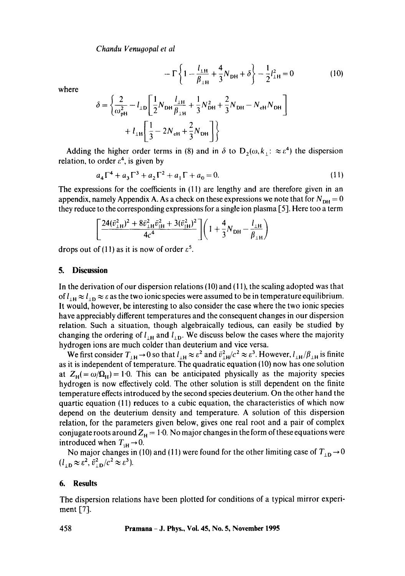*Chandu Venugopal et al* 

$$
- \Gamma \left\{ 1 - \frac{l_{\perp H}}{\beta_{\perp H}} + \frac{4}{3} N_{\rm DH} + \delta \right\} - \frac{1}{2} l_{\perp H}^2 = 0 \tag{10}
$$

where

$$
\delta = \left\{ \frac{2}{\omega_{\text{pH}}^2} - l_{\text{1D}} \left[ \frac{1}{2} N_{\text{DH}} \frac{l_{\text{1H}}}{\beta_{\text{1H}}} + \frac{1}{3} N_{\text{DH}}^2 + \frac{2}{3} N_{\text{DH}} - N_{\text{cH}} N_{\text{DH}} \right] + l_{\text{1H}} \left[ \frac{1}{3} - 2N_{\text{cH}} + \frac{2}{3} N_{\text{DH}} \right] \right\}
$$

Adding the higher order terms in (8) and in  $\delta$  to  $D_2(\omega, k_1: \approx \varepsilon^4)$  the dispersion relation, to order  $\varepsilon^4$ , is given by

$$
a_4\Gamma^4 + a_3\Gamma^3 + a_2\Gamma^2 + a_1\Gamma + a_0 = 0.
$$
 (11)

The expressions for the coefficients in  $(11)$  are lengthy and are therefore given in an appendix, namely Appendix A. As a check on these expressions we note that for  $N_{\text{DH}} = 0$ they reduce to the corresponding expressions for a single ion plasma [5]. Here too a term

$$
\left[\frac{24(\bar{v}_{1\text{H}}^2)^2 + 8\bar{v}_{1\text{H}}^2 \bar{v}_{1\text{H}}^2 + 3(\bar{v}_{1\text{H}}^2)^2}{4c^4}\right] \left(1 + \frac{4}{3}N_{\text{DH}} - \frac{l_{1\text{H}}}{\beta_{1\text{H}}}\right)
$$

drops out of (11) as it is now of order  $\varepsilon^5$ .

### **5. Discussion**

In the derivation of our dispersion relations  $(10)$  and  $(11)$ , the scaling adopted was that of  $l_{\perp H} \approx l_{\perp D} \approx \varepsilon$  as the two ionic species were assumed to be in temperature equilibrium. It would, however, be interesting to also consider the case where the two ionic species have appreciably different temperatures and the consequent changes in our dispersion relation. Such a situation, though algebraically tedious, can easily be studied by changing the ordering of  $l_{\perp H}$  and  $l_{\perp D}$ . We discuss below the cases where the majority hydrogen ions are much colder than deuterium and vice versa.

We first consider  $T_{\perp H} \rightarrow 0$  so that  $l_{\perp H} \approx \varepsilon^2$  and  $\bar{v}_{\perp H}^2/c^2 \approx \varepsilon^3$ . However,  $l_{\perp H}/\beta_{\perp H}$  is finite as it is independent of temperature. The quadratic equation (10) now has one solution at  $Z_H = \omega/\Omega_H$ ) = 1.0. This can be anticipated physically as the majority species hydrogen is now effectively cold. The other solution is still dependent on the finite temperature effects introduced by the second species deuterium. On the other hand the quartic equation (11) reduces to a cubic equation, the characteristics of which now depend on the deuterium density and temperature. A solution of this dispersion relation, for the parameters given below, gives one real root and a pair of complex conjugate roots around  $Z_H = 1.0$ . No major changes in the form of these equations were introduced when  $T_{\rm{H}} \rightarrow 0$ .

No major changes in (10) and (11) were found for the other limiting case of  $T_{\perp D} \rightarrow 0$  $(l_{\perp D} \approx \varepsilon^2, \bar{v}_{\perp D}^2/c^2 \approx \varepsilon^3).$ 

# **6. Results**

The dispersion relations have been plotted for conditions of a typical mirror experiment [7].

**458 Pramana - J. Phys., VoL 45, No. 5, November 1995**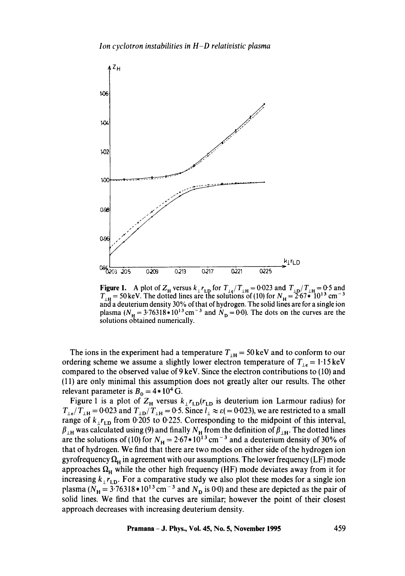

**Figure 1.** A plot of  $Z_H$  versus  $k_{\perp} r_{\text{LD}}$  for  $T_{\text{LE}}/T_{\text{LE}} = 0.023$  and  $T_{\text{ID}}/T_{\text{LE}} = 0.5$  and  $T_{\text{H}}$  = 50 keV. The dotted lines are the solutions of (10) for  $N_{\text{H}} = 2.67*10^{13}$  cm<sup>-3</sup> and a deuterium density 30% of that of hydrogen. The solid lines are for a single ion plasma ( $N_H = 3.76318 \times 10^{13}$  cm<sup>-3</sup> and  $N_D = 0.0$ ). The dots on the curves are the solutions obtained numerically.

The ions in the experiment had a temperature  $T_{\text{H}} = 50 \,\text{keV}$  and to conform to our ordering scheme we assume a slightly lower electron temperature of  $T_{1e} = 1.15 \text{ keV}$ compared to the observed value of 9 keV. Since the electron contributions to (10) and (11) are only minimal this assumption does not greatly alter our results. The other relevant parameter is  $B_0 = 4*10^4$  G.

Figure 1 is a plot of  $Z_H$  versus  $k_{\perp}r_{LD}(r_{LD})$  is deuterium ion Larmour radius) for  $T_{\perp e}/T_{\perp H} = 0.023$  and  $T_{\perp D}/T_{\perp H} = 0.5$ . Since  $l_{\perp} \approx \varepsilon (= 0.023)$ , we are restricted to a small range of  $k_{\perp}r_{\text{LD}}$  from 0.205 to 0.225. Corresponding to the midpoint of this interval,  $\beta_{\perp H}$  was calculated using (9) and finally  $N_{\rm H}$  from the definition of  $\beta_{\perp H}$ . The dotted lines are the solutions of (10) for  $N_{\rm H} = 2.67*10^{13}$  cm<sup>-3</sup> and a deuterium density of 30% of that of hydrogen. We find that there are two modes on either side of the hydrogen ion gyrofrequency  $\Omega_H$  in agreement with our assumptions. The lower frequency (LF) mode approaches  $\Omega_H$  while the other high frequency (HF) mode deviates away from it for increasing  $k_{\perp}r_{\text{LD}}$ . For a comparative study we also plot these modes for a single ion plasma ( $N_H = 3.76318 \times 10^{13}$  cm<sup>-3</sup> and  $N_D$  is 0.0) and these are depicted as the pair of solid lines. We find that the curves are similar; however the point of their closest approach decreases with increasing deuterium density.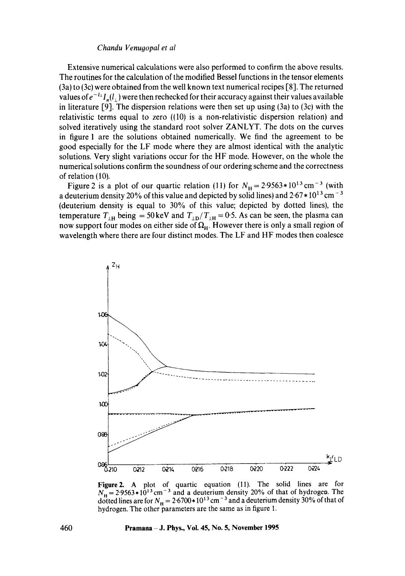### *Chandu Venugopal et al*

Extensive numerical calculations were also performed to confirm the above results. The routines for the calculation of the modified Bessel functions in the tensor elements (3a) to (3c) were obtained from the well known text numerical recipes [8]. The returned values of  $e^{-l_1}I_n(l_1)$  were then rechecked for their accuracy against their values available in literature [9]. The dispersion relations were then set up using (3a) to (3c) with the relativistic terms equal to zero ((10) is a non-relativistic dispersion relation) and solved iteratively using the standard root solver ZANLYT. The dots on the curves in figure 1 are the solutions obtained numerically. We find the agreement to be good especially for the LF mode where they are almost identical with the analytic solutions. Very slight variations occur for the HF mode. However, on the whole the numerical solutions confirm the soundness of our ordering scheme and the correctness of relation (10).

Figure 2 is a plot of our quartic relation (11) for  $N_H = 2.9563 \times 10^{13} \text{ cm}^{-3}$  (with a deuterium density 20% of this value and depicted by solid lines) and  $2.67 * 10^{13}$  cm<sup>-3</sup> (deuterium density is equal to 30% of this value; depicted by dotted lines), the temperature  $T_{\perp H}$  being = 50 keV and  $T_{\perp D}/T_{\perp H}$  = 0.5. As can be seen, the plasma can now support four modes on either side of  $\Omega_H$ . However there is only a small region of wavelength where there are four distinct modes, The LF and HF modes then coalesce



**Figure2.** A plot of quartic equation (11). The solid lines are for  $N_{\rm H} = 2.9563 * 10^{13}$  cm<sup>-3</sup> and a deuterium density 20% of that of hydrogen. The dotted lines are for  $N_{\rm H} = 2.6700 \times 10^{13}$  cm<sup>-3</sup> and a deuterium density 30% of that of hydrogen. The other parameters are the same as in figure 1.

#### **460 Pramana - J. Phys., Vol. 45, No. 5, November 1995**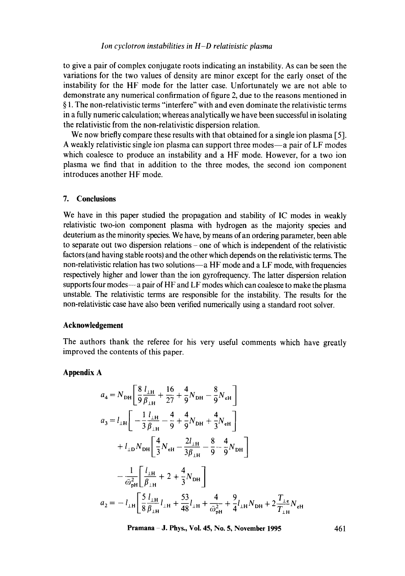to give a pair of complex conjugate roots indicating an instability. As can be seen the variations for the two values of density are minor except for the early onset of the instability for the HF mode for the latter case. Unfortunately we are not able to demonstrate any numerical confirmation of figure 2, due to the reasons mentioned in § 1. The non-relativistic terms "interfere" with and even dominate the relativistic terms in a fully numeric calculation; whereas analytically we have been successful in isolating the relativistic from the non-relativistic dispersion relation.

We now briefly compare these results with that obtained for a single ion plasma [5]. A weakly relativistic single ion plasma can support three modes—a pair of LF modes which coalesce to produce an instability and a HF mode. However, for a two ion plasma we find that in addition to the three modes, the second ion component introduces another HF mode.

#### **7. Conclusions**

We have in this paper studied the propagation and stability of IC modes in weakly relativistic two-ion component plasma with hydrogen as the majority species and deuterium as the minority species. We have, by means of an ordering parameter, been able to separate out two dispersion relations - one of which is independent of the relativistic factors (and having stable roots) and the other which depends on the relativistic terms. The non-relativistic relation has two solutions-a HF mode and a LF mode, with frequencies respectively higher and lower than the ion gyrofrequency. The latter dispersion relation supports four modes—a pair of HF and LF modes which can coalesce to make the plasma unstable. The relativistic terms are responsible for the instability. The results for the non-relativistic case have also been verified numerically using a standard root solver.

# **Acknowledgement**

The authors thank the referee for his very useful comments which have greatly improved the contents of this paper.

# **Appendix A**

$$
a_4 = N_{\text{DH}} \left[ \frac{8}{9} \frac{l_{\text{LH}}}{\beta_{\text{LH}}} + \frac{16}{27} + \frac{4}{9} N_{\text{DH}} - \frac{8}{9} N_{\text{eH}} \right]
$$
  
\n
$$
a_3 = l_{\text{LH}} \left[ -\frac{1}{3} \frac{l_{\text{LH}}}{\beta_{\text{LH}}} - \frac{4}{9} + \frac{4}{9} N_{\text{DH}} + \frac{4}{3} N_{\text{eH}} \right]
$$
  
\n
$$
+ l_{\text{LD}} N_{\text{DH}} \left[ \frac{4}{3} N_{\text{eH}} - \frac{2l_{\text{LH}}}{3 \beta_{\text{LH}}} - \frac{8}{9} - \frac{4}{9} N_{\text{DH}} \right]
$$
  
\n
$$
- \frac{1}{\bar{\omega}_{\text{PH}}^2} \left[ \frac{l_{\text{LH}}}{\beta_{\text{LH}}} + 2 + \frac{4}{3} N_{\text{DH}} \right]
$$
  
\n
$$
a_2 = -l_{\text{LH}} \left[ \frac{5}{8} \frac{l_{\text{LH}}}{\beta_{\text{LH}}} l_{\text{LH}} + \frac{53}{48} l_{\text{LH}} + \frac{4}{\bar{\omega}_{\text{PH}}^2} + \frac{9}{4} l_{\text{LH}} N_{\text{DH}} + 2 \frac{T_{\text{Le}}}{T_{\text{LH}}} N_{\text{eH}}
$$

**Pramana J. Phys., Vol. 45, No. 5, November 1995 461**